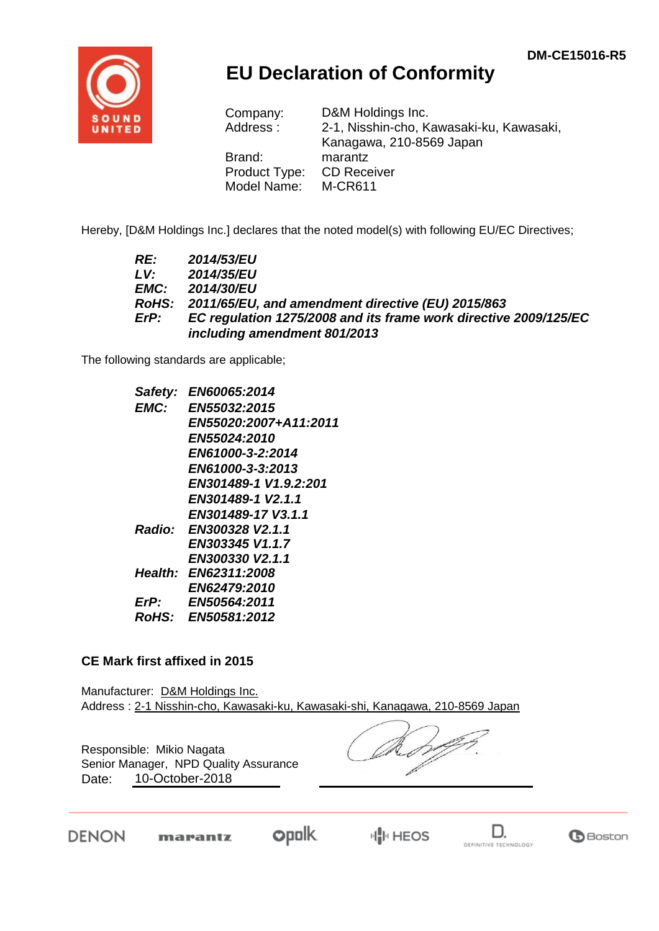

## **EU Declaration of Conformity**

| Company:<br>Address: | D&M Holdings Inc.<br>2-1, Nisshin-cho, Kawasaki-ku, Kawasaki,<br>Kanagawa, 210-8569 Japan |
|----------------------|-------------------------------------------------------------------------------------------|
| Brand:               | marantz                                                                                   |
| Product Type:        | <b>CD Receiver</b>                                                                        |
| Model Name:          | <b>M-CR611</b>                                                                            |

Hereby, [D&M Holdings Inc.] declares that the noted model(s) with following EU/EC Directives;

| RE:  | <b>2014/53/EU</b>                                                |
|------|------------------------------------------------------------------|
| LV:  | 2014/35/EU                                                       |
| EMC: | <b>2014/30/EU</b>                                                |
|      | RoHS: 2011/65/EU, and amendment directive (EU) 2015/863          |
| ErP: | EC regulation 1275/2008 and its frame work directive 2009/125/EC |
|      | including amendment 801/2013                                     |

The following standards are applicable;

| Safety:      | EN60065:2014          |
|--------------|-----------------------|
| EMC:         | EN55032:2015          |
|              | EN55020:2007+A11:2011 |
|              | <b>EN55024:2010</b>   |
|              | EN61000-3-2:2014      |
|              | EN61000-3-3:2013      |
|              | EN301489-1 V1.9.2:201 |
|              | EN301489-1 V2.1.1     |
|              | EN301489-17 V3.1.1    |
| Radio:       | EN300328 V2.1.1       |
|              | EN303345 V1.1.7       |
|              | EN300330 V2.1.1       |
|              | Health: EN62311:2008  |
|              | EN62479:2010          |
| ErP:         | EN50564:2011          |
| <b>RoHS:</b> | <b>EN50581:2012</b>   |
|              |                       |

## **CE Mark first affixed in 2015**

Manufacturer: D&M Holdings Inc. Address : 2-1 Nisshin-cho, Kawasaki-ku, Kawasaki-shi, Kanagawa, 210-8569 Japan

Responsible: Mikio Nagata Date: 10-October-2018 Senior Manager, NPD Quality Assurance

DENON

**opolk** marantz



**G**Boston